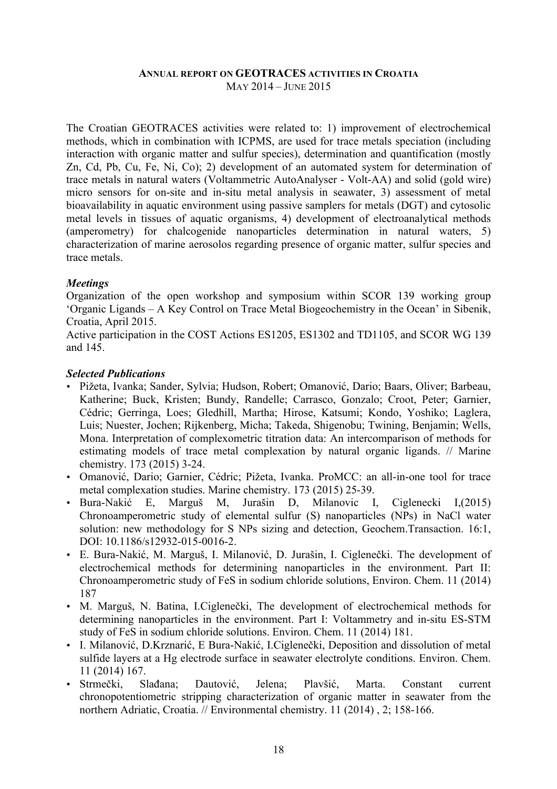#### **ANNUAL REPORT ON GEOTRACES ACTIVITIES IN CROATIA** MAY 2014 – JUNE 2015

The Croatian GEOTRACES activities were related to: 1) improvement of electrochemical methods, which in combination with ICPMS, are used for trace metals speciation (including interaction with organic matter and sulfur species), determination and quantification (mostly Zn, Cd, Pb, Cu, Fe, Ni, Co); 2) development of an automated system for determination of trace metals in natural waters (Voltammetric AutoAnalyser - Volt-AA) and solid (gold wire) micro sensors for on-site and in-situ metal analysis in seawater, 3) assessment of metal bioavailability in aquatic environment using passive samplers for metals (DGT) and cytosolic metal levels in tissues of aquatic organisms, 4) development of electroanalytical methods (amperometry) for chalcogenide nanoparticles determination in natural waters, 5) characterization of marine aerosolos regarding presence of organic matter, sulfur species and trace metals.

# *Meetings*

Organization of the open workshop and symposium within SCOR 139 working group 'Organic Ligands – A Key Control on Trace Metal Biogeochemistry in the Ocean' in Sibenik, Croatia, April 2015.

Active participation in the COST Actions ES1205, ES1302 and TD1105, and SCOR WG 139 and 145.

## *Selected Publications*

- Pižeta, Ivanka; Sander, Sylvia; Hudson, Robert; Omanović, Dario; Baars, Oliver; Barbeau, Katherine; Buck, Kristen; Bundy, Randelle; Carrasco, Gonzalo; Croot, Peter; Garnier, Cédric; Gerringa, Loes; Gledhill, Martha; Hirose, Katsumi; Kondo, Yoshiko; Laglera, Luis; Nuester, Jochen; Rijkenberg, Micha; Takeda, Shigenobu; Twining, Benjamin; Wells, Mona. Interpretation of complexometric titration data: An intercomparison of methods for estimating models of trace metal complexation by natural organic ligands. // Marine chemistry. 173 (2015) 3-24.
- Omanović, Dario; Garnier, Cédric; Pižeta, Ivanka. ProMCC: an all-in-one tool for trace metal complexation studies. Marine chemistry. 173 (2015) 25-39.
- Bura-Nakić E, Marguš M, Jurašin D, Milanovic I, Ciglenecki I,(2015) Chronoamperometric study of elemental sulfur (S) nanoparticles (NPs) in NaCl water solution: new methodology for S NPs sizing and detection, Geochem.Transaction. 16:1, DOI: 10.1186/s12932-015-0016-2.
- E. Bura-Nakić, M. Marguš, I. Milanović, D. Jurašin, I. Ciglenečki. The development of electrochemical methods for determining nanoparticles in the environment. Part II: Chronoamperometric study of FeS in sodium chloride solutions, Environ. Chem. 11 (2014) 187
- M. Marguš, N. Batina, I.Ciglenečki, The development of electrochemical methods for determining nanoparticles in the environment. Part I: Voltammetry and in-situ ES-STM study of FeS in sodium chloride solutions. Environ. Chem. 11 (2014) 181.
- I. Milanović, D.Krznarić, E Bura-Nakić, I.Ciglenečki, Deposition and dissolution of metal sulfide layers at a Hg electrode surface in seawater electrolyte conditions. Environ. Chem. 11 (2014) 167.
- Strmečki, Slađana; Dautović, Jelena; Plavšić, Marta. Constant current chronopotentiometric stripping characterization of organic matter in seawater from the northern Adriatic, Croatia. // Environmental chemistry. 11 (2014) , 2; 158-166.